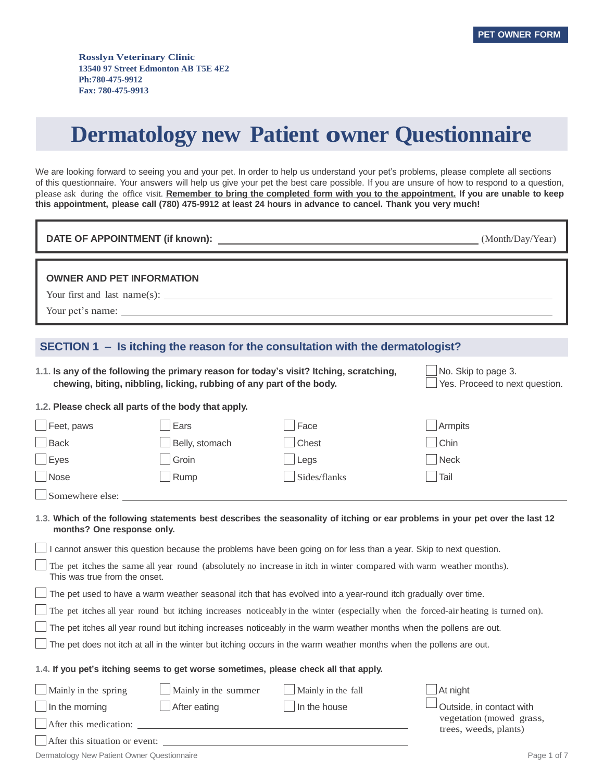# **Dermatology new Patient owner Questionnaire**

We are looking forward to seeing you and your pet. In order to help us understand your pet's problems, please complete all sections of this questionnaire. Your answers will help us give your pet the best care possible. If you are unsure of how to respond to a question, please ask during the office visit. Remember to bring the completed form with you to the appointment. If you are unable to keep this appointment, please call (780) 475-9912 at least 24 hours in advance to cancel. Thank you very much!

| <b>DATE OF APPOINTMENT (if known):</b>                                                                              |                                                                      |                                                                                                                      | (Month/Day/Year)                                                                                                                    |
|---------------------------------------------------------------------------------------------------------------------|----------------------------------------------------------------------|----------------------------------------------------------------------------------------------------------------------|-------------------------------------------------------------------------------------------------------------------------------------|
| <b>OWNER AND PET INFORMATION</b>                                                                                    |                                                                      | Your first and last name(s): $\Box$                                                                                  |                                                                                                                                     |
|                                                                                                                     |                                                                      | SECTION 1 - Is itching the reason for the consultation with the dermatologist?                                       |                                                                                                                                     |
|                                                                                                                     | chewing, biting, nibbling, licking, rubbing of any part of the body. | 1.1. Is any of the following the primary reason for today's visit? Itching, scratching,                              | No. Skip to page 3.<br>Yes. Proceed to next question.                                                                               |
|                                                                                                                     | 1.2. Please check all parts of the body that apply.                  |                                                                                                                      |                                                                                                                                     |
| $\Box$ Feet, paws                                                                                                   | Ears                                                                 | Face                                                                                                                 | Armpits                                                                                                                             |
| $\Box$ Back<br>$\Box$ Eyes                                                                                          | Belly, stomach<br>Groin                                              | Chest<br>Legs                                                                                                        | Chin<br><b>Neck</b>                                                                                                                 |
| Nose                                                                                                                | Rump                                                                 | Sides/flanks                                                                                                         | Tail                                                                                                                                |
| $\Box$ Somewhere else:                                                                                              |                                                                      |                                                                                                                      |                                                                                                                                     |
| months? One response only.                                                                                          |                                                                      |                                                                                                                      | 1.3. Which of the following statements best describes the seasonality of itching or ear problems in your pet over the last 12       |
|                                                                                                                     |                                                                      | I cannot answer this question because the problems have been going on for less than a year. Skip to next question.   |                                                                                                                                     |
| This was true from the onset.                                                                                       |                                                                      | The pet itches the same all year round (absolutely no increase in itch in winter compared with warm weather months). |                                                                                                                                     |
|                                                                                                                     |                                                                      | The pet used to have a warm weather seasonal itch that has evolved into a year-round itch gradually over time.       |                                                                                                                                     |
|                                                                                                                     |                                                                      |                                                                                                                      | The pet itches all year round but itching increases noticeably in the winter (especially when the forced-air heating is turned on). |
| The pet itches all year round but itching increases noticeably in the warm weather months when the pollens are out. |                                                                      |                                                                                                                      |                                                                                                                                     |
|                                                                                                                     |                                                                      | The pet does not itch at all in the winter but itching occurs in the warm weather months when the pollens are out.   |                                                                                                                                     |
| 1.4. If you pet's itching seems to get worse sometimes, please check all that apply.                                |                                                                      |                                                                                                                      |                                                                                                                                     |
| $\Box$ Mainly in the spring                                                                                         | Mainly in the summer                                                 | Mainly in the fall                                                                                                   | At night                                                                                                                            |
| $\Box$ In the morning                                                                                               | After eating                                                         | In the house                                                                                                         | Outside, in contact with                                                                                                            |
|                                                                                                                     |                                                                      |                                                                                                                      | vegetation (mowed grass,<br>trees, weeds, plants)                                                                                   |
|                                                                                                                     |                                                                      | After this situation or event:                                                                                       |                                                                                                                                     |
| Dermatology New Patient Owner Questionnaire                                                                         |                                                                      |                                                                                                                      | Page 1 of 7                                                                                                                         |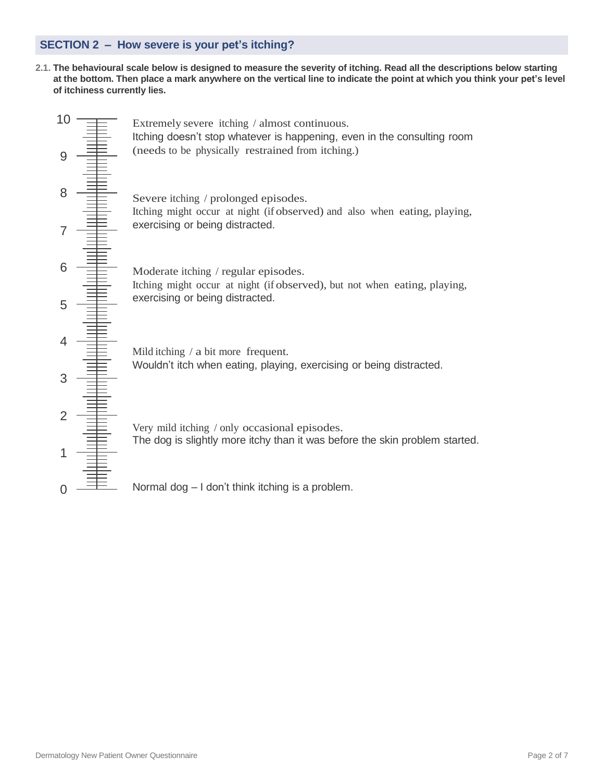### **SECTION 2 – How severe is your pet's itching?**

2.1. The behavioural scale below is designed to measure the severity of itching. Read all the descriptions below starting at the bottom. Then place a mark anywhere on the vertical line to indicate the point at which you think your pet's level **of itchiness currently lies.**

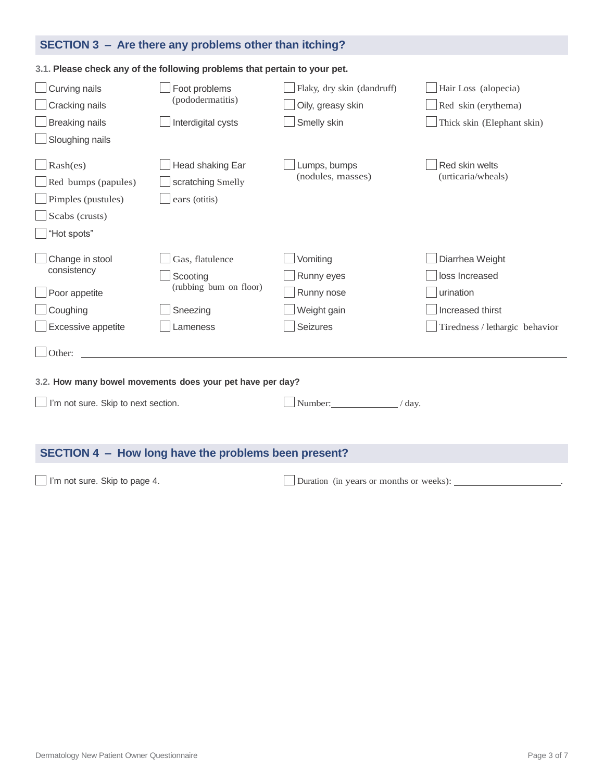## **SECTION 3 – Are there any problems other than itching?**

#### **3.1. Please check any of the following problems that pertain to your pet.**

| Curving nails<br>Cracking nails<br><b>Breaking nails</b><br>Sloughing nails                 | Foot problems<br>(pododermatitis)<br>Interdigital cysts                       | Flaky, dry skin (dandruff)<br>Oily, greasy skin<br>Smelly skin  | Hair Loss (alopecia)<br>Red skin (erythema)<br>Thick skin (Elephant skin)                            |
|---------------------------------------------------------------------------------------------|-------------------------------------------------------------------------------|-----------------------------------------------------------------|------------------------------------------------------------------------------------------------------|
| Rash(es)<br>Red bumps (papules)<br>Pimples (pustules)<br>Scabs (crusts)<br>"Hot spots"      | Head shaking Ear<br>scratching Smelly<br>ears (otitis)                        | Lumps, bumps<br>(nodules, masses)                               | Red skin welts<br>(urticaria/wheals)                                                                 |
| Change in stool<br>consistency<br>Poor appetite<br>Coughing<br>Excessive appetite<br>Other: | Gas, flatulence<br>Scooting<br>(rubbing bum on floor)<br>Sneezing<br>Lameness | Vomiting<br>Runny eyes<br>Runny nose<br>Weight gain<br>Seizures | Diarrhea Weight<br>loss Increased<br>urination<br>Increased thirst<br>Tiredness / lethargic behavior |
| I'm not sure. Skip to next section.                                                         | 3.2. How many bowel movements does your pet have per day?                     | Number:<br>$\angle$ day.                                        |                                                                                                      |
| SECTION 4 - How long have the problems been present?                                        |                                                                               |                                                                 |                                                                                                      |

□ I'm not sure. Skip to page 4. <br>□ Duration (in years or months or weeks):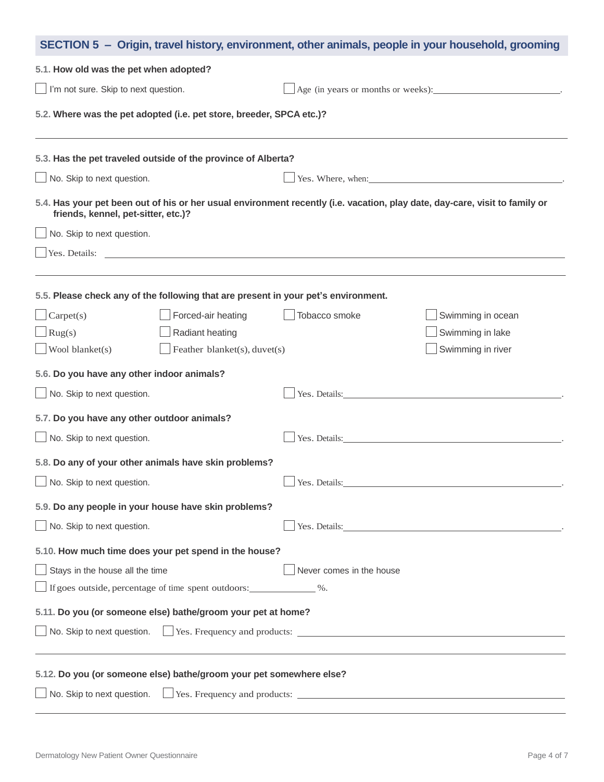| SECTION 5 - Origin, travel history, environment, other animals, people in your household, grooming                                                                 |                          |                                                                                                                                                                                                                               |  |
|--------------------------------------------------------------------------------------------------------------------------------------------------------------------|--------------------------|-------------------------------------------------------------------------------------------------------------------------------------------------------------------------------------------------------------------------------|--|
| 5.1. How old was the pet when adopted?                                                                                                                             |                          |                                                                                                                                                                                                                               |  |
| $\Box$ I'm not sure. Skip to next question.                                                                                                                        |                          | $\Box$ Age (in years or months or weeks):                                                                                                                                                                                     |  |
| 5.2. Where was the pet adopted (i.e. pet store, breeder, SPCA etc.)?                                                                                               |                          |                                                                                                                                                                                                                               |  |
| 5.3. Has the pet traveled outside of the province of Alberta?                                                                                                      |                          |                                                                                                                                                                                                                               |  |
| $\Box$ No. Skip to next question.<br>Yes. Where, when:                                                                                                             |                          |                                                                                                                                                                                                                               |  |
| 5.4. Has your pet been out of his or her usual environment recently (i.e. vacation, play date, day-care, visit to family or<br>friends, kennel, pet-sitter, etc.)? |                          |                                                                                                                                                                                                                               |  |
| $\Box$ No. Skip to next question.                                                                                                                                  |                          |                                                                                                                                                                                                                               |  |
|                                                                                                                                                                    |                          |                                                                                                                                                                                                                               |  |
| 5.5. Please check any of the following that are present in your pet's environment.                                                                                 |                          |                                                                                                                                                                                                                               |  |
| Forced-air heating<br>$\Box$ Carpet(s)                                                                                                                             | Tobacco smoke            | Swimming in ocean                                                                                                                                                                                                             |  |
| $\Box$ Rug(s)<br>Radiant heating                                                                                                                                   |                          | Swimming in lake                                                                                                                                                                                                              |  |
| $\Box$ Wool blanket(s)<br>$\Box$ Feather blanket(s), duvet(s)                                                                                                      |                          | Swimming in river                                                                                                                                                                                                             |  |
| 5.6. Do you have any other indoor animals?                                                                                                                         |                          |                                                                                                                                                                                                                               |  |
| No. Skip to next question.                                                                                                                                         |                          | Yes. Details: No. 1996. In the set of the set of the set of the set of the set of the set of the set of the set of the set of the set of the set of the set of the set of the set of the set of the set of the set of the set |  |
| 5.7. Do you have any other outdoor animals?                                                                                                                        |                          |                                                                                                                                                                                                                               |  |
| $\Box$ No. Skip to next question.                                                                                                                                  | Yes. Details:            |                                                                                                                                                                                                                               |  |
| 5.8. Do any of your other animals have skin problems?                                                                                                              |                          |                                                                                                                                                                                                                               |  |
| No. Skip to next question.                                                                                                                                         |                          | Yes. Details:                                                                                                                                                                                                                 |  |
| 5.9. Do any people in your house have skin problems?                                                                                                               |                          |                                                                                                                                                                                                                               |  |
| No. Skip to next question.                                                                                                                                         |                          | Yes. Details: 2008. [2016]                                                                                                                                                                                                    |  |
| 5.10. How much time does your pet spend in the house?                                                                                                              |                          |                                                                                                                                                                                                                               |  |
| $\Box$ Stays in the house all the time                                                                                                                             | Never comes in the house |                                                                                                                                                                                                                               |  |
| If goes outside, percentage of time spent outdoors: _____________ %.                                                                                               |                          |                                                                                                                                                                                                                               |  |
| 5.11. Do you (or someone else) bathe/groom your pet at home?                                                                                                       |                          |                                                                                                                                                                                                                               |  |
| No. Skip to next question. Thes. Frequency and products: Theorem 2014 and 2015 and 2016                                                                            |                          |                                                                                                                                                                                                                               |  |
|                                                                                                                                                                    |                          |                                                                                                                                                                                                                               |  |
| 5.12. Do you (or someone else) bathe/groom your pet somewhere else?                                                                                                |                          |                                                                                                                                                                                                                               |  |
| No. Skip to next question. $\Box$ Yes. Frequency and products: $\Box$                                                                                              |                          |                                                                                                                                                                                                                               |  |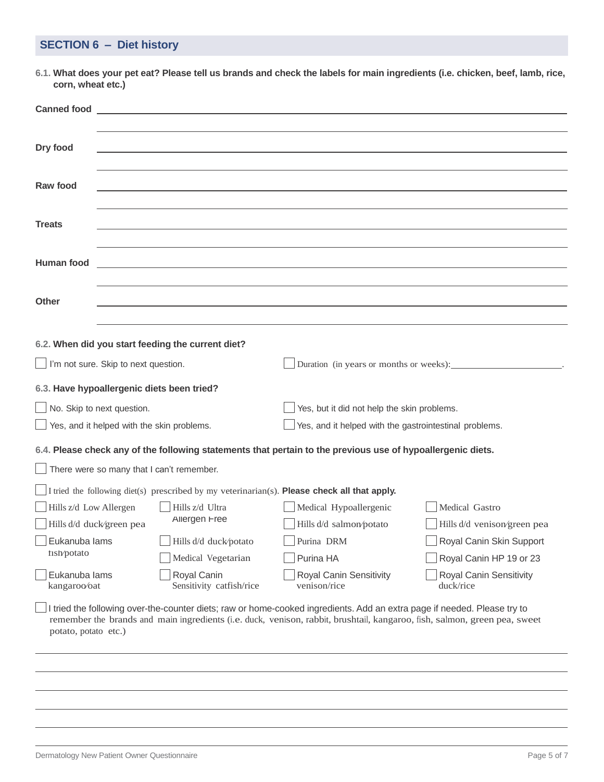## **SECTION 6 – Diet history**

6.1. What does your pet eat? Please tell us brands and check the labels for main ingredients (i.e. chicken, beef, lamb, rice, **corn, wheat etc.)**

| <b>Canned food Canned food</b>                                                                                                                                        |                                                                                                             |                                                                                                                                                                                                                                                       |                                      |
|-----------------------------------------------------------------------------------------------------------------------------------------------------------------------|-------------------------------------------------------------------------------------------------------------|-------------------------------------------------------------------------------------------------------------------------------------------------------------------------------------------------------------------------------------------------------|--------------------------------------|
|                                                                                                                                                                       |                                                                                                             |                                                                                                                                                                                                                                                       |                                      |
| Dry food                                                                                                                                                              |                                                                                                             |                                                                                                                                                                                                                                                       |                                      |
|                                                                                                                                                                       |                                                                                                             |                                                                                                                                                                                                                                                       |                                      |
| Raw food                                                                                                                                                              |                                                                                                             |                                                                                                                                                                                                                                                       |                                      |
|                                                                                                                                                                       |                                                                                                             |                                                                                                                                                                                                                                                       |                                      |
| <b>Treats</b>                                                                                                                                                         |                                                                                                             |                                                                                                                                                                                                                                                       |                                      |
|                                                                                                                                                                       |                                                                                                             |                                                                                                                                                                                                                                                       |                                      |
| Human food                                                                                                                                                            |                                                                                                             |                                                                                                                                                                                                                                                       |                                      |
|                                                                                                                                                                       |                                                                                                             |                                                                                                                                                                                                                                                       |                                      |
| <b>Other</b>                                                                                                                                                          |                                                                                                             |                                                                                                                                                                                                                                                       |                                      |
|                                                                                                                                                                       |                                                                                                             |                                                                                                                                                                                                                                                       |                                      |
|                                                                                                                                                                       |                                                                                                             |                                                                                                                                                                                                                                                       |                                      |
| 6.2. When did you start feeding the current diet?<br>$\Box$ I'm not sure. Skip to next question.<br>Duration (in years or months or weeks): ________________________. |                                                                                                             |                                                                                                                                                                                                                                                       |                                      |
|                                                                                                                                                                       |                                                                                                             |                                                                                                                                                                                                                                                       |                                      |
| 6.3. Have hypoallergenic diets been tried?                                                                                                                            |                                                                                                             |                                                                                                                                                                                                                                                       |                                      |
| $\Box$ No. Skip to next question.                                                                                                                                     |                                                                                                             | Yes, but it did not help the skin problems.                                                                                                                                                                                                           |                                      |
|                                                                                                                                                                       | $\Box$ Yes, and it helped with the skin problems.<br>Yes, and it helped with the gastrointestinal problems. |                                                                                                                                                                                                                                                       |                                      |
|                                                                                                                                                                       |                                                                                                             | 6.4. Please check any of the following statements that pertain to the previous use of hypoallergenic diets.                                                                                                                                           |                                      |
| There were so many that I can't remember.                                                                                                                             |                                                                                                             |                                                                                                                                                                                                                                                       |                                      |
|                                                                                                                                                                       |                                                                                                             | I tried the following diet(s) prescribed by my veterinarian(s). Please check all that apply.                                                                                                                                                          |                                      |
| Hills z/d Low Allergen                                                                                                                                                | Hills z/d Ultra                                                                                             | Medical Hypoallergenic                                                                                                                                                                                                                                | Medical Gastro                       |
| Hills d/d duck/green pea                                                                                                                                              | Allergen Free                                                                                               | Hills d/d salmon/potato                                                                                                                                                                                                                               | Hills d/d venison/green pea          |
| $\Box$ Eukanuba lams                                                                                                                                                  | Hills d/d duck/potato                                                                                       | Purina DRM                                                                                                                                                                                                                                            | Royal Canin Skin Support             |
| tish/potato                                                                                                                                                           | Medical Vegetarian                                                                                          | Purina HA                                                                                                                                                                                                                                             | Royal Canin HP 19 or 23              |
| Eukanuba lams<br>kangaroo/oat                                                                                                                                         | Royal Canin<br>Sensitivity catfish/rice                                                                     | Royal Canin Sensitivity<br>venison/rice                                                                                                                                                                                                               | Royal Canin Sensitivity<br>duck/rice |
| potato, potato etc.)                                                                                                                                                  |                                                                                                             | I tried the following over-the-counter diets; raw or home-cooked ingredients. Add an extra page if needed. Please try to<br>remember the brands and main ingredients (i.e. duck, venison, rabbit, brushtail, kangaroo, fish, salmon, green pea, sweet |                                      |
|                                                                                                                                                                       |                                                                                                             |                                                                                                                                                                                                                                                       |                                      |
|                                                                                                                                                                       |                                                                                                             |                                                                                                                                                                                                                                                       |                                      |
|                                                                                                                                                                       |                                                                                                             |                                                                                                                                                                                                                                                       |                                      |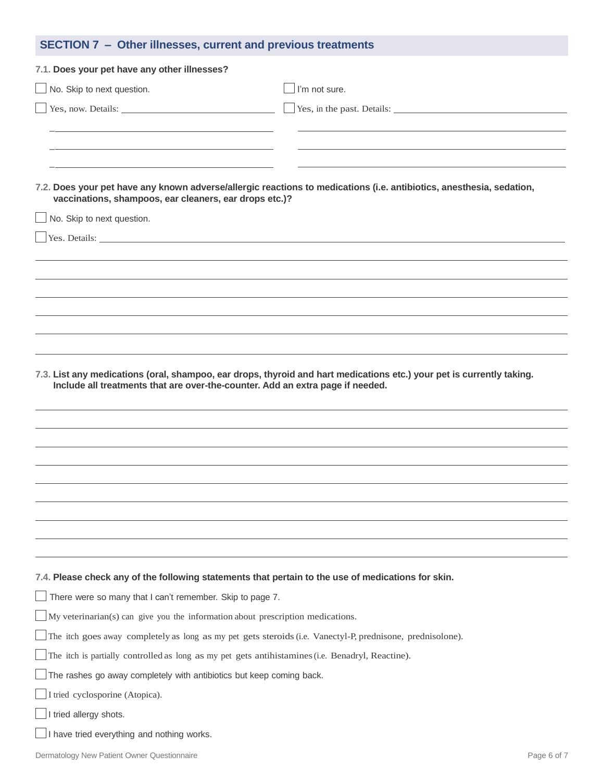| SECTION 7 - Other illnesses, current and previous treatments                                               |                                                                                                                       |  |
|------------------------------------------------------------------------------------------------------------|-----------------------------------------------------------------------------------------------------------------------|--|
| 7.1. Does your pet have any other illnesses?                                                               |                                                                                                                       |  |
| No. Skip to next question.                                                                                 | I'm not sure.                                                                                                         |  |
|                                                                                                            | Yes, in the past. Details:                                                                                            |  |
|                                                                                                            |                                                                                                                       |  |
|                                                                                                            |                                                                                                                       |  |
|                                                                                                            |                                                                                                                       |  |
| vaccinations, shampoos, ear cleaners, ear drops etc.)?                                                     | 7.2. Does your pet have any known adverse/allergic reactions to medications (i.e. antibiotics, anesthesia, sedation,  |  |
| No. Skip to next question.                                                                                 |                                                                                                                       |  |
|                                                                                                            |                                                                                                                       |  |
|                                                                                                            |                                                                                                                       |  |
|                                                                                                            |                                                                                                                       |  |
|                                                                                                            |                                                                                                                       |  |
|                                                                                                            |                                                                                                                       |  |
|                                                                                                            |                                                                                                                       |  |
|                                                                                                            |                                                                                                                       |  |
| Include all treatments that are over-the-counter. Add an extra page if needed.                             | 7.3. List any medications (oral, shampoo, ear drops, thyroid and hart medications etc.) your pet is currently taking. |  |
|                                                                                                            |                                                                                                                       |  |
|                                                                                                            |                                                                                                                       |  |
|                                                                                                            |                                                                                                                       |  |
|                                                                                                            |                                                                                                                       |  |
|                                                                                                            |                                                                                                                       |  |
|                                                                                                            |                                                                                                                       |  |
|                                                                                                            |                                                                                                                       |  |
|                                                                                                            |                                                                                                                       |  |
| 7.4. Please check any of the following statements that pertain to the use of medications for skin.         |                                                                                                                       |  |
| $\Box$ There were so many that I can't remember. Skip to page 7.                                           |                                                                                                                       |  |
| $\Box$ My veterinarian(s) can give you the information about prescription medications.                     |                                                                                                                       |  |
| The itch goes away completely as long as my pet gets steroids (i.e. Vanectyl-P, prednisone, prednisolone). |                                                                                                                       |  |
| The itch is partially controlled as long as my pet gets antihistamines (i.e. Benadryl, Reactine).          |                                                                                                                       |  |
| $\Box$ The rashes go away completely with antibiotics but keep coming back.                                |                                                                                                                       |  |
| I tried cyclosporine (Atopica).                                                                            |                                                                                                                       |  |
| $\Box$ I tried allergy shots.                                                                              |                                                                                                                       |  |
| I have tried everything and nothing works.                                                                 |                                                                                                                       |  |